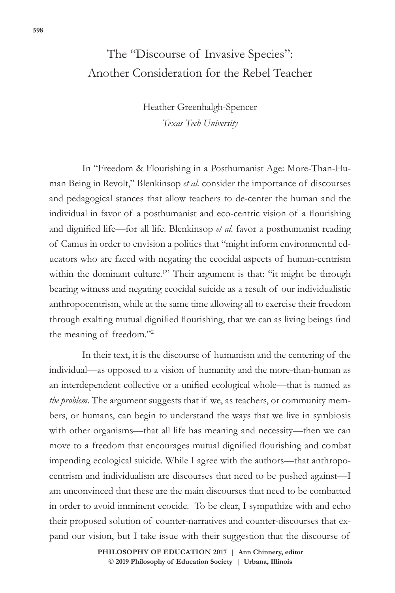# The "Discourse of Invasive Species": Another Consideration for the Rebel Teacher

Heather Greenhalgh-Spencer *Texas Tech University*

In "Freedom & Flourishing in a Posthumanist Age: More-Than-Human Being in Revolt," Blenkinsop *et al.* consider the importance of discourses and pedagogical stances that allow teachers to de-center the human and the individual in favor of a posthumanist and eco-centric vision of a flourishing and dignified life—for all life. Blenkinsop *et al*. favor a posthumanist reading of Camus in order to envision a politics that "might inform environmental educators who are faced with negating the ecocidal aspects of human-centrism within the dominant culture.<sup>1</sup>" Their argument is that: "it might be through bearing witness and negating ecocidal suicide as a result of our individualistic anthropocentrism, while at the same time allowing all to exercise their freedom through exalting mutual dignified flourishing, that we can as living beings find the meaning of freedom."<sup>2</sup>

In their text, it is the discourse of humanism and the centering of the individual—as opposed to a vision of humanity and the more-than-human as an interdependent collective or a unified ecological whole—that is named as *the problem*. The argument suggests that if we, as teachers, or community members, or humans, can begin to understand the ways that we live in symbiosis with other organisms—that all life has meaning and necessity—then we can move to a freedom that encourages mutual dignified flourishing and combat impending ecological suicide. While I agree with the authors—that anthropocentrism and individualism are discourses that need to be pushed against—I am unconvinced that these are the main discourses that need to be combatted in order to avoid imminent ecocide. To be clear, I sympathize with and echo their proposed solution of counter-narratives and counter-discourses that expand our vision, but I take issue with their suggestion that the discourse of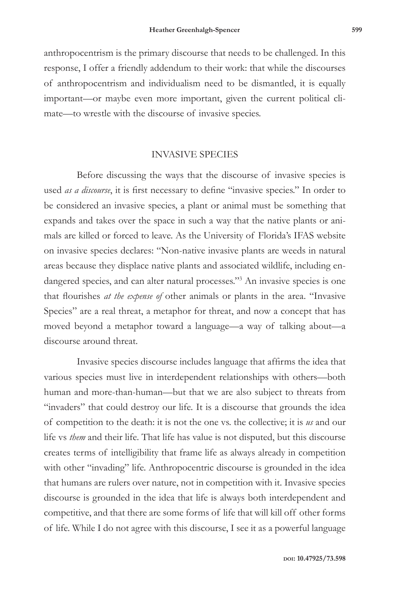anthropocentrism is the primary discourse that needs to be challenged. In this response, I offer a friendly addendum to their work: that while the discourses of anthropocentrism and individualism need to be dismantled, it is equally important—or maybe even more important, given the current political climate—to wrestle with the discourse of invasive species.

### INVASIVE SPECIES

Before discussing the ways that the discourse of invasive species is used *as a discourse*, it is first necessary to define "invasive species." In order to be considered an invasive species, a plant or animal must be something that expands and takes over the space in such a way that the native plants or animals are killed or forced to leave. As the University of Florida's IFAS website on invasive species declares: "Non-native invasive plants are weeds in natural areas because they displace native plants and associated wildlife, including endangered species, and can alter natural processes."<sup>3</sup> An invasive species is one that flourishes *at the expense of* other animals or plants in the area. "Invasive Species" are a real threat, a metaphor for threat, and now a concept that has moved beyond a metaphor toward a language—a way of talking about—a discourse around threat.

Invasive species discourse includes language that affirms the idea that various species must live in interdependent relationships with others—both human and more-than-human—but that we are also subject to threats from "invaders" that could destroy our life. It is a discourse that grounds the idea of competition to the death: it is not the one vs. the collective; it is *us* and our life vs *them* and their life. That life has value is not disputed, but this discourse creates terms of intelligibility that frame life as always already in competition with other "invading" life. Anthropocentric discourse is grounded in the idea that humans are rulers over nature, not in competition with it. Invasive species discourse is grounded in the idea that life is always both interdependent and competitive, and that there are some forms of life that will kill off other forms of life. While I do not agree with this discourse, I see it as a powerful language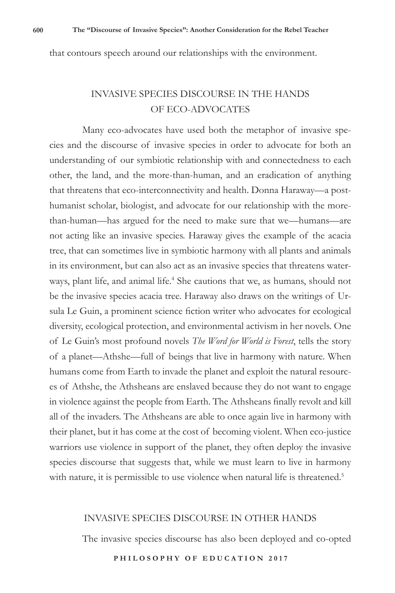that contours speech around our relationships with the environment.

## INVASIVE SPECIES DISCOURSE IN THE HANDS OF ECO-ADVOCATES

Many eco-advocates have used both the metaphor of invasive species and the discourse of invasive species in order to advocate for both an understanding of our symbiotic relationship with and connectedness to each other, the land, and the more-than-human, and an eradication of anything that threatens that eco-interconnectivity and health. Donna Haraway—a posthumanist scholar, biologist, and advocate for our relationship with the morethan-human—has argued for the need to make sure that we—humans—are not acting like an invasive species. Haraway gives the example of the acacia tree, that can sometimes live in symbiotic harmony with all plants and animals in its environment, but can also act as an invasive species that threatens waterways, plant life, and animal life.<sup>4</sup> She cautions that we, as humans, should not be the invasive species acacia tree. Haraway also draws on the writings of Ursula Le Guin, a prominent science fiction writer who advocates for ecological diversity, ecological protection, and environmental activism in her novels. One of Le Guin's most profound novels *The Word for World is Forest*, tells the story of a planet—Athshe—full of beings that live in harmony with nature. When humans come from Earth to invade the planet and exploit the natural resources of Athshe, the Athsheans are enslaved because they do not want to engage in violence against the people from Earth. The Athsheans finally revolt and kill all of the invaders. The Athsheans are able to once again live in harmony with their planet, but it has come at the cost of becoming violent. When eco-justice warriors use violence in support of the planet, they often deploy the invasive species discourse that suggests that, while we must learn to live in harmony with nature, it is permissible to use violence when natural life is threatened.<sup>5</sup>

### INVASIVE SPECIES DISCOURSE IN OTHER HANDS

The invasive species discourse has also been deployed and co-opted

**PHILOSOPHY OF EDUCATION 2017**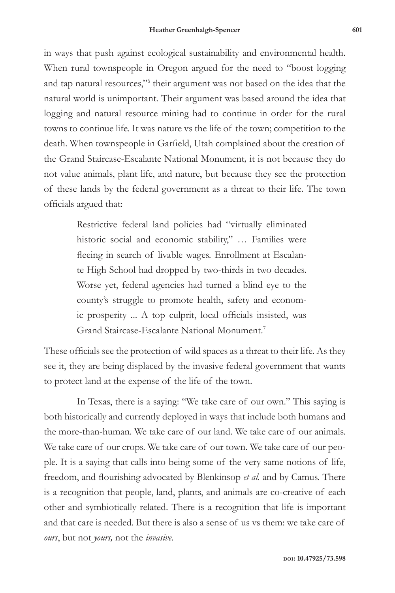in ways that push against ecological sustainability and environmental health. When rural townspeople in Oregon argued for the need to "boost logging and tap natural resources,"6 their argument was not based on the idea that the natural world is unimportant. Their argument was based around the idea that logging and natural resource mining had to continue in order for the rural towns to continue life. It was nature vs the life of the town; competition to the death. When townspeople in Garfield, Utah complained about the creation of the Grand Staircase-Escalante National Monument*,* it is not because they do not value animals, plant life, and nature, but because they see the protection of these lands by the federal government as a threat to their life. The town officials argued that:

> Restrictive federal land policies had "virtually eliminated historic social and economic stability," ... Families were fleeing in search of livable wages. Enrollment at Escalante High School had dropped by two-thirds in two decades. Worse yet, federal agencies had turned a blind eye to the county's struggle to promote health, safety and economic prosperity ... A top culprit, local officials insisted, was Grand Staircase-Escalante National Monument.<sup>7</sup>

These officials see the protection of wild spaces as a threat to their life. As they see it, they are being displaced by the invasive federal government that wants to protect land at the expense of the life of the town.

In Texas, there is a saying: "We take care of our own." This saying is both historically and currently deployed in ways that include both humans and the more-than-human. We take care of our land. We take care of our animals. We take care of our crops. We take care of our town. We take care of our people. It is a saying that calls into being some of the very same notions of life, freedom, and flourishing advocated by Blenkinsop *et al.* and by Camus. There is a recognition that people, land, plants, and animals are co-creative of each other and symbiotically related. There is a recognition that life is important and that care is needed. But there is also a sense of us vs them: we take care of *ours*, but not *yours,* not the *invasive*.